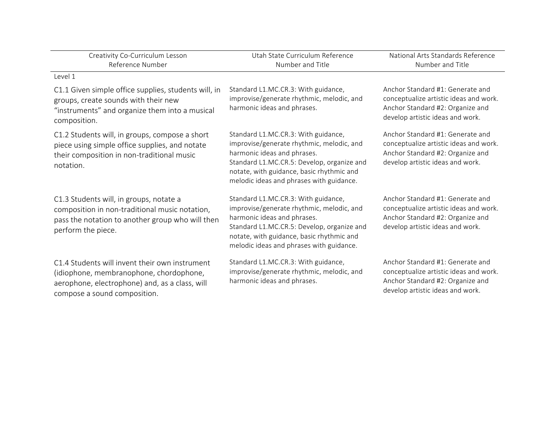| Creativity Co-Curriculum Lesson<br>Reference Number                                                                                                                         | Utah State Curriculum Reference<br>Number and Title                                                                                                                                                                                                    | National Arts Standards Reference<br>Number and Title                                                                                              |
|-----------------------------------------------------------------------------------------------------------------------------------------------------------------------------|--------------------------------------------------------------------------------------------------------------------------------------------------------------------------------------------------------------------------------------------------------|----------------------------------------------------------------------------------------------------------------------------------------------------|
| Level 1                                                                                                                                                                     |                                                                                                                                                                                                                                                        |                                                                                                                                                    |
| C1.1 Given simple office supplies, students will, in<br>groups, create sounds with their new<br>"instruments" and organize them into a musical<br>composition.              | Standard L1.MC.CR.3: With guidance,<br>improvise/generate rhythmic, melodic, and<br>harmonic ideas and phrases.                                                                                                                                        | Anchor Standard #1: Generate and<br>conceptualize artistic ideas and work.<br>Anchor Standard #2: Organize and<br>develop artistic ideas and work. |
| C1.2 Students will, in groups, compose a short<br>piece using simple office supplies, and notate<br>their composition in non-traditional music<br>notation.                 | Standard L1.MC.CR.3: With guidance,<br>improvise/generate rhythmic, melodic, and<br>harmonic ideas and phrases.<br>Standard L1.MC.CR.5: Develop, organize and<br>notate, with guidance, basic rhythmic and<br>melodic ideas and phrases with guidance. | Anchor Standard #1: Generate and<br>conceptualize artistic ideas and work.<br>Anchor Standard #2: Organize and<br>develop artistic ideas and work. |
| C1.3 Students will, in groups, notate a<br>composition in non-traditional music notation,<br>pass the notation to another group who will then<br>perform the piece.         | Standard L1.MC.CR.3: With guidance,<br>improvise/generate rhythmic, melodic, and<br>harmonic ideas and phrases.<br>Standard L1.MC.CR.5: Develop, organize and<br>notate, with guidance, basic rhythmic and<br>melodic ideas and phrases with guidance. | Anchor Standard #1: Generate and<br>conceptualize artistic ideas and work.<br>Anchor Standard #2: Organize and<br>develop artistic ideas and work. |
| C1.4 Students will invent their own instrument<br>(idiophone, membranophone, chordophone,<br>aerophone, electrophone) and, as a class, will<br>compose a sound composition. | Standard L1.MC.CR.3: With guidance,<br>improvise/generate rhythmic, melodic, and<br>harmonic ideas and phrases.                                                                                                                                        | Anchor Standard #1: Generate and<br>conceptualize artistic ideas and work.<br>Anchor Standard #2: Organize and<br>develop artistic ideas and work. |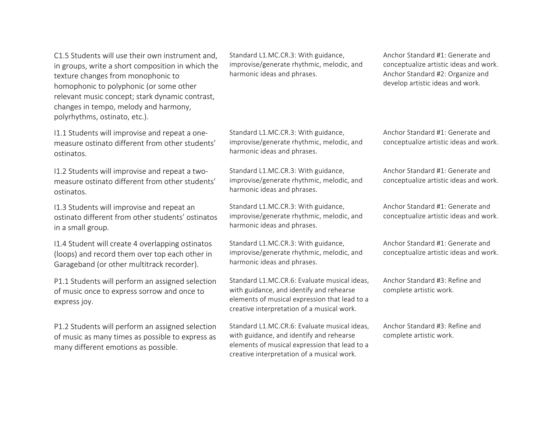C1.5 Students will use their own instrument and, in groups, write a short composition in which the texture changes from monophonic to homophonic to polyphonic (or some other relevant music concept; stark dynamic contrast, changes in tempo, melody and harmony, polyrhythms, ostinato, etc.).

I1.1 Students will improvise and repeat a onemeasure ostinato different from other students' ostinatos.

I1.2 Students will improvise and repeat a twomeasure ostinato different from other students' ostinatos.

I1.3 Students will improvise and repeat an ostinato different from other students' ostinatos in a small group.

I1.4 Student will create 4 overlapping ostinatos (loops) and record them over top each other in Garageband (or other multitrack recorder).

P1.1 Students will perform an assigned selection of music once to express sorrow and once to express joy.

P1.2 Students will perform an assigned selection of music as many times as possible to express as many different emotions as possible.

Standard L1.MC.CR.3: With guidance, improvise/generate rhythmic, melodic, and harmonic ideas and phrases.

Standard L1.MC.CR.3: With guidance, improvise/generate rhythmic, melodic, and harmonic ideas and phrases.

Standard L1.MC.CR.3: With guidance, improvise/generate rhythmic, melodic, and harmonic ideas and phrases.

Standard L1.MC.CR.3: With guidance, improvise/generate rhythmic, melodic, and harmonic ideas and phrases.

Standard L1.MC.CR.3: With guidance, improvise/generate rhythmic, melodic, and harmonic ideas and phrases.

Standard L1.MC.CR.6: Evaluate musical ideas, with guidance, and identify and rehearse elements of musical expression that lead to a creative interpretation of a musical work.

Standard L1.MC.CR.6: Evaluate musical ideas, with guidance, and identify and rehearse elements of musical expression that lead to a creative interpretation of a musical work.

Anchor Standard #1: Generate and conceptualize artistic ideas and work. Anchor Standard #2: Organize and develop artistic ideas and work.

Anchor Standard #1: Generate and conceptualize artistic ideas and work.

Anchor Standard  $#1$ : Generate and conceptualize artistic ideas and work.

Anchor Standard #1: Generate and conceptualize artistic ideas and work.

Anchor Standard #1: Generate and conceptualize artistic ideas and work.

Anchor Standard  $#3$ : Refine and complete artistic work.

Anchor Standard  $#3$ : Refine and complete artistic work.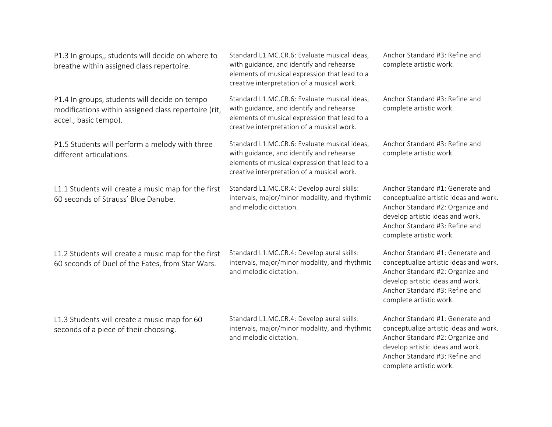P1.3 In groups,, students will decide on where to breathe within assigned class repertoire. Standard L1.MC.CR.6: Evaluate musical ideas, with guidance, and identify and rehearse elements of musical expression that lead to a creative interpretation of a musical work. Anchor Standard #3: Refine and complete artistic work. P1.4 In groups, students will decide on tempo modifications within assigned class repertoire (rit, accel., basic tempo). Standard L1.MC.CR.6: Evaluate musical ideas, with guidance, and identify and rehearse elements of musical expression that lead to a creative interpretation of a musical work. Anchor Standard #3: Refine and complete artistic work. P1.5 Students will perform a melody with three different articulations. Standard L1.MC.CR.6: Evaluate musical ideas, with guidance, and identify and rehearse elements of musical expression that lead to a creative interpretation of a musical work. Anchor Standard #3: Refine and complete artistic work. L1.1 Students will create a music map for the first 60 seconds of Strauss' Blue Danube. Standard L1.MC.CR.4: Develop aural skills: intervals, major/minor modality, and rhythmic and melodic dictation. Anchor Standard #1: Generate and conceptualize artistic ideas and work. Anchor Standard #2: Organize and develop artistic ideas and work. Anchor Standard #3: Refine and complete artistic work. L1.2 Students will create a music map for the first 60 seconds of Duel of the Fates, from Star Wars. Standard L1.MC.CR.4: Develop aural skills: intervals, major/minor modality, and rhythmic and melodic dictation Anchor Standard #1: Generate and conceptualize artistic ideas and work. Anchor Standard #2: Organize and develop artistic ideas and work. Anchor Standard #3: Refine and complete artistic work. L1.3 Students will create a music map for 60 seconds of a piece of their choosing. Standard L1.MC.CR.4: Develop aural skills: intervals, major/minor modality, and rhythmic and melodic dictation Anchor Standard #1: Generate and conceptualize artistic ideas and work. Anchor Standard #2: Organize and develop artistic ideas and work. Anchor Standard #3: Refine and complete artistic work.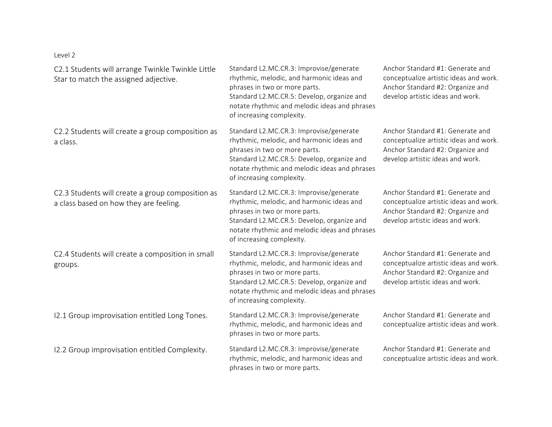Level 2

| C2.1 Students will arrange Twinkle Twinkle Little<br>Star to match the assigned adjective. | Standard L2.MC.CR.3: Improvise/generate<br>rhythmic, melodic, and harmonic ideas and<br>phrases in two or more parts.<br>Standard L2.MC.CR.5: Develop, organize and<br>notate rhythmic and melodic ideas and phrases<br>of increasing complexity. | Anchor Standard #1: Generate and<br>conceptualize artistic ideas and work.<br>Anchor Standard #2: Organize and<br>develop artistic ideas and work. |
|--------------------------------------------------------------------------------------------|---------------------------------------------------------------------------------------------------------------------------------------------------------------------------------------------------------------------------------------------------|----------------------------------------------------------------------------------------------------------------------------------------------------|
| C2.2 Students will create a group composition as<br>a class.                               | Standard L2.MC.CR.3: Improvise/generate<br>rhythmic, melodic, and harmonic ideas and<br>phrases in two or more parts.<br>Standard L2.MC.CR.5: Develop, organize and<br>notate rhythmic and melodic ideas and phrases<br>of increasing complexity. | Anchor Standard #1: Generate and<br>conceptualize artistic ideas and work.<br>Anchor Standard #2: Organize and<br>develop artistic ideas and work. |
| C2.3 Students will create a group composition as<br>a class based on how they are feeling. | Standard L2.MC.CR.3: Improvise/generate<br>rhythmic, melodic, and harmonic ideas and<br>phrases in two or more parts.<br>Standard L2.MC.CR.5: Develop, organize and<br>notate rhythmic and melodic ideas and phrases<br>of increasing complexity. | Anchor Standard #1: Generate and<br>conceptualize artistic ideas and work.<br>Anchor Standard #2: Organize and<br>develop artistic ideas and work. |
| C2.4 Students will create a composition in small<br>groups.                                | Standard L2.MC.CR.3: Improvise/generate<br>rhythmic, melodic, and harmonic ideas and<br>phrases in two or more parts.<br>Standard L2.MC.CR.5: Develop, organize and<br>notate rhythmic and melodic ideas and phrases<br>of increasing complexity. | Anchor Standard #1: Generate and<br>conceptualize artistic ideas and work.<br>Anchor Standard #2: Organize and<br>develop artistic ideas and work. |
| 12.1 Group improvisation entitled Long Tones.                                              | Standard L2.MC.CR.3: Improvise/generate<br>rhythmic, melodic, and harmonic ideas and<br>phrases in two or more parts.                                                                                                                             | Anchor Standard #1: Generate and<br>conceptualize artistic ideas and work.                                                                         |
| 12.2 Group improvisation entitled Complexity.                                              | Standard L2.MC.CR.3: Improvise/generate<br>rhythmic, melodic, and harmonic ideas and<br>phrases in two or more parts.                                                                                                                             | Anchor Standard #1: Generate and<br>conceptualize artistic ideas and work.                                                                         |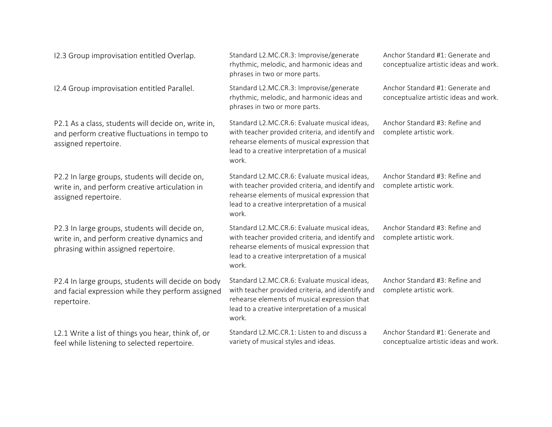| 12.3 Group improvisation entitled Overlap.                                                                                            | Standard L2.MC.CR.3: Improvise/generate<br>rhythmic, melodic, and harmonic ideas and<br>phrases in two or more parts.                                                                                       | Anchor Standard #1: Generate and<br>conceptualize artistic ideas and work. |
|---------------------------------------------------------------------------------------------------------------------------------------|-------------------------------------------------------------------------------------------------------------------------------------------------------------------------------------------------------------|----------------------------------------------------------------------------|
| 12.4 Group improvisation entitled Parallel.                                                                                           | Standard L2.MC.CR.3: Improvise/generate<br>rhythmic, melodic, and harmonic ideas and<br>phrases in two or more parts.                                                                                       | Anchor Standard #1: Generate and<br>conceptualize artistic ideas and work. |
| P2.1 As a class, students will decide on, write in,<br>and perform creative fluctuations in tempo to<br>assigned repertoire.          | Standard L2.MC.CR.6: Evaluate musical ideas,<br>with teacher provided criteria, and identify and<br>rehearse elements of musical expression that<br>lead to a creative interpretation of a musical<br>work. | Anchor Standard #3: Refine and<br>complete artistic work.                  |
| P2.2 In large groups, students will decide on,<br>write in, and perform creative articulation in<br>assigned repertoire.              | Standard L2.MC.CR.6: Evaluate musical ideas,<br>with teacher provided criteria, and identify and<br>rehearse elements of musical expression that<br>lead to a creative interpretation of a musical<br>work. | Anchor Standard #3: Refine and<br>complete artistic work.                  |
| P2.3 In large groups, students will decide on,<br>write in, and perform creative dynamics and<br>phrasing within assigned repertoire. | Standard L2.MC.CR.6: Evaluate musical ideas,<br>with teacher provided criteria, and identify and<br>rehearse elements of musical expression that<br>lead to a creative interpretation of a musical<br>work. | Anchor Standard #3: Refine and<br>complete artistic work.                  |
| P2.4 In large groups, students will decide on body<br>and facial expression while they perform assigned<br>repertoire.                | Standard L2.MC.CR.6: Evaluate musical ideas,<br>with teacher provided criteria, and identify and<br>rehearse elements of musical expression that<br>lead to a creative interpretation of a musical<br>work. | Anchor Standard #3: Refine and<br>complete artistic work.                  |
| L2.1 Write a list of things you hear, think of, or<br>feel while listening to selected repertoire.                                    | Standard L2.MC.CR.1: Listen to and discuss a<br>variety of musical styles and ideas.                                                                                                                        | Anchor Standard #1: Generate and<br>conceptualize artistic ideas and work. |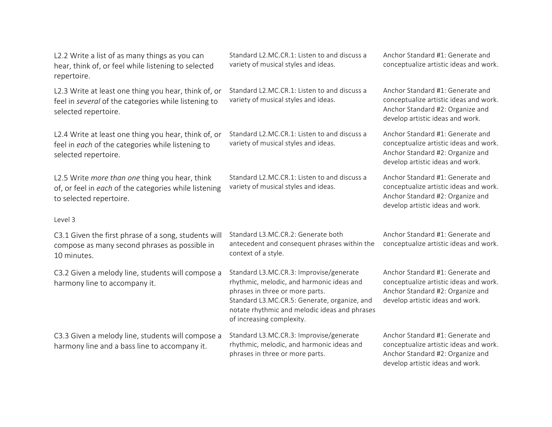L2.2 Write a list of as many things as you can hear, think of, or feel while listening to selected repertoire.

L2.3 Write at least one thing you hear, think of, or feel in *several* of the categories while listening to selected repertoire.

L2.4 Write at least one thing you hear, think of, or feel in *each* of the categories while listening to selected repertoire.

L2.5 Write *more than one* thing you hear, think of, or feel in *each* of the categories while listening to selected repertoire.

## Level 3

C3.1 Given the first phrase of a song, students will compose as many second phrases as possible in 10 minutes.

C3.2 Given a melody line, students will compose a harmony line to accompany it.

C3.3 Given a melody line, students will compose a harmony line and a bass line to accompany it.

Standard L2.MC.CR.1: Listen to and discuss a variety of musical styles and ideas.

Standard L2.MC.CR.1: Listen to and discuss a variety of musical styles and ideas.

Standard L2.MC.CR.1: Listen to and discuss a variety of musical styles and ideas.

Standard L2.MC.CR.1: Listen to and discuss a variety of musical styles and ideas.

antecedent and consequent phrases within the

Standard L3.MC.CR.3: Improvise/generate rhythmic, melodic, and harmonic ideas and

Standard L3.MC.CR.3: Improvise/generate rhythmic, melodic, and harmonic ideas and

Standard L3.MC.CR.5: Generate, organize, and notate rhythmic and melodic ideas and phrases

phrases in three or more parts.

phrases in three or more parts.

of increasing complexity.

Standard L3 MC CR  $2 \cdot$  Generate both

context of a style.

Anchor Standard #1: Generate and conceptualize artistic ideas and work.

Anchor Standard #1: Generate and conceptualize artistic ideas and work. Anchor Standard #2: Organize and develop artistic ideas and work.

Anchor Standard #1: Generate and conceptualize artistic ideas and work. Anchor Standard #2: Organize and develop artistic ideas and work.

Anchor Standard #1: Generate and conceptualize artistic ideas and work. Anchor Standard #2: Organize and develop artistic ideas and work.

Anchor Standard  $#1$ : Generate and conceptualize artistic ideas and work.

Anchor Standard #1: Generate and conceptualize artistic ideas and work. Anchor Standard #2: Organize and develop artistic ideas and work.

Anchor Standard #1: Generate and conceptualize artistic ideas and work. Anchor Standard #2: Organize and develop artistic ideas and work.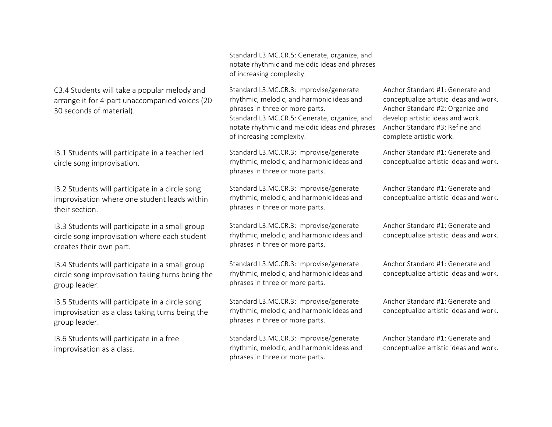C3.4 Students will take a popular melody and arrange it for 4-part unaccompanied voices (20-30 seconds of material).

I3.1 Students will participate in a teacher led circle song improvisation.

I3.2 Students will participate in a circle song improvisation where one student leads within their section.

I3.3 Students will participate in a small group circle song improvisation where each student creates their own part.

I3.4 Students will participate in a small group circle song improvisation taking turns being the group leader.

I3.5 Students will participate in a circle song improvisation as a class taking turns being the group leader.

I3.6 Students will participate in a free improvisation as a class.

Standard L3.MC.CR.5: Generate, organize, and notate rhythmic and melodic ideas and phrases of increasing complexity.

Standard L3.MC.CR.3: Improvise/generate rhythmic, melodic, and harmonic ideas and phrases in three or more parts. Standard L3.MC.CR.5: Generate, organize, and notate rhythmic and melodic ideas and phrases of increasing complexity.

Standard L3.MC.CR.3: Improvise/generate rhythmic, melodic, and harmonic ideas and phrases in three or more parts.

Standard L3.MC.CR.3: Improvise/generate rhythmic, melodic, and harmonic ideas and phrases in three or more parts.

Standard L3.MC.CR.3: Improvise/generate rhythmic, melodic, and harmonic ideas and phrases in three or more parts.

Standard L3.MC.CR.3: Improvise/generate rhythmic, melodic, and harmonic ideas and phrases in three or more parts.

Standard L3.MC.CR.3: Improvise/generate rhythmic, melodic, and harmonic ideas and phrases in three or more parts.

Standard L3.MC.CR.3: Improvise/generate rhythmic, melodic, and harmonic ideas and phrases in three or more parts.

Anchor Standard #1: Generate and conceptualize artistic ideas and work. Anchor Standard #2: Organize and develop artistic ideas and work. Anchor Standard #3: Refine and complete artistic work.

Anchor Standard #1: Generate and conceptualize artistic ideas and work.

Anchor Standard #1: Generate and conceptualize artistic ideas and work.

Anchor Standard  $#1$ : Generate and conceptualize artistic ideas and work.

Anchor Standard #1: Generate and conceptualize artistic ideas and work.

Anchor Standard #1: Generate and conceptualize artistic ideas and work.

Anchor Standard #1: Generate and conceptualize artistic ideas and work.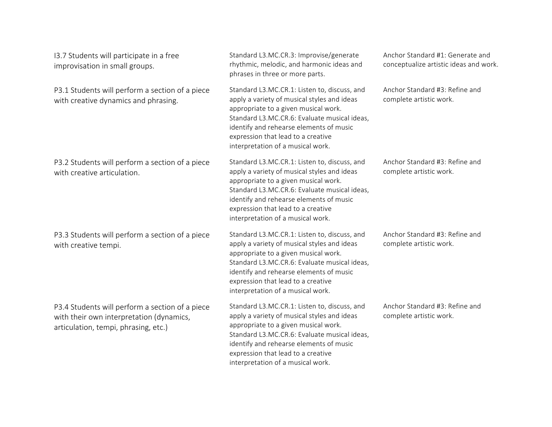| 13.7 Students will participate in a free<br>improvisation in small groups.                                                          | Standard L3.MC.CR.3: Improvise/generate<br>rhythmic, melodic, and harmonic ideas and<br>phrases in three or more parts.                                                                                                                                                                                   | Anchor Standard #1: Generate and<br>conceptualize artistic ideas and work. |
|-------------------------------------------------------------------------------------------------------------------------------------|-----------------------------------------------------------------------------------------------------------------------------------------------------------------------------------------------------------------------------------------------------------------------------------------------------------|----------------------------------------------------------------------------|
| P3.1 Students will perform a section of a piece<br>with creative dynamics and phrasing.                                             | Standard L3.MC.CR.1: Listen to, discuss, and<br>apply a variety of musical styles and ideas<br>appropriate to a given musical work.<br>Standard L3.MC.CR.6: Evaluate musical ideas,<br>identify and rehearse elements of music<br>expression that lead to a creative<br>interpretation of a musical work. | Anchor Standard #3: Refine and<br>complete artistic work.                  |
| P3.2 Students will perform a section of a piece<br>with creative articulation.                                                      | Standard L3.MC.CR.1: Listen to, discuss, and<br>apply a variety of musical styles and ideas<br>appropriate to a given musical work.<br>Standard L3.MC.CR.6: Evaluate musical ideas,<br>identify and rehearse elements of music<br>expression that lead to a creative<br>interpretation of a musical work. | Anchor Standard #3: Refine and<br>complete artistic work.                  |
| P3.3 Students will perform a section of a piece<br>with creative tempi.                                                             | Standard L3.MC.CR.1: Listen to, discuss, and<br>apply a variety of musical styles and ideas<br>appropriate to a given musical work.<br>Standard L3.MC.CR.6: Evaluate musical ideas,<br>identify and rehearse elements of music<br>expression that lead to a creative<br>interpretation of a musical work. | Anchor Standard #3: Refine and<br>complete artistic work.                  |
| P3.4 Students will perform a section of a piece<br>with their own interpretation (dynamics,<br>articulation, tempi, phrasing, etc.) | Standard L3.MC.CR.1: Listen to, discuss, and<br>apply a variety of musical styles and ideas<br>appropriate to a given musical work.<br>Standard L3.MC.CR.6: Evaluate musical ideas,<br>identify and rehearse elements of music<br>expression that lead to a creative<br>interpretation of a musical work. | Anchor Standard #3: Refine and<br>complete artistic work.                  |